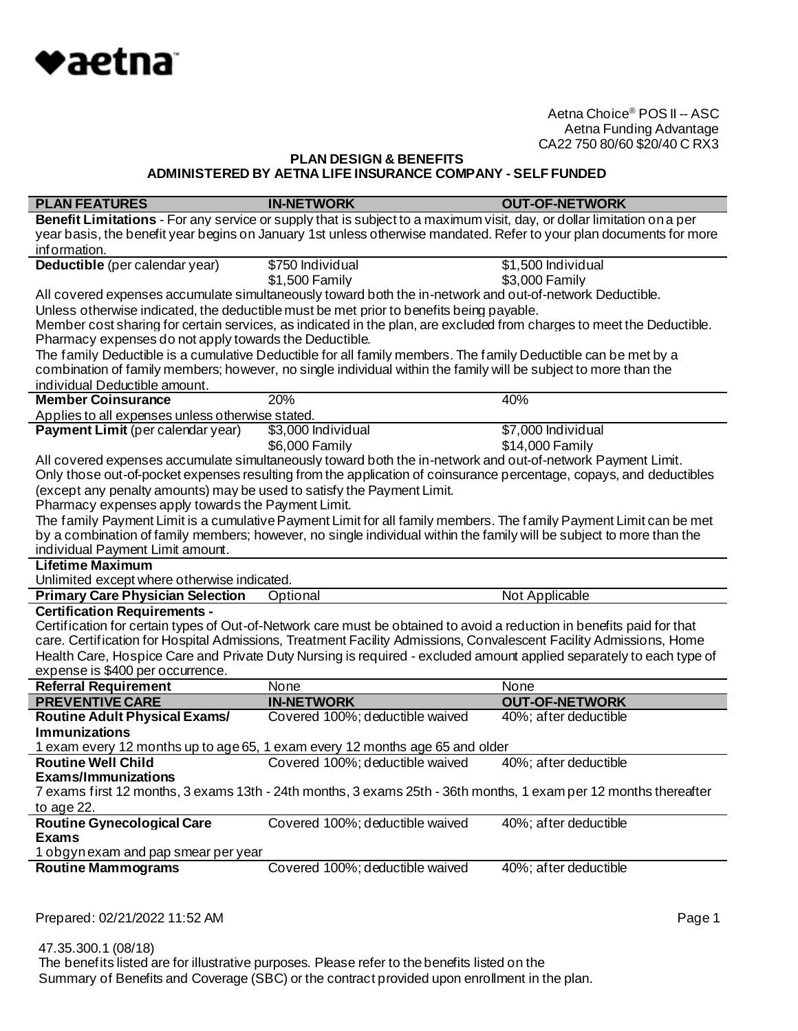

# **PLAN DESIGN & BENEFITS ADMINISTERED BY AETNA LIFE INSURANCE COMPANY - SELF FUNDED**

| <b>PLAN FEATURES</b>                                                   | <b>IN-NETWORK</b>                                                                                                      | <b>OUT-OF-NETWORK</b> |
|------------------------------------------------------------------------|------------------------------------------------------------------------------------------------------------------------|-----------------------|
|                                                                        | Benefit Limitations - For any service or supply that is subject to a maximum visit, day, or dollar limitation on a per |                       |
|                                                                        | year basis, the benefit year begins on January 1st unless otherwise mandated. Refer to your plan documents for more    |                       |
| information.                                                           |                                                                                                                        |                       |
| Deductible (per calendar year)                                         | \$750 Individual                                                                                                       | \$1,500 Individual    |
|                                                                        | \$1,500 Family                                                                                                         | \$3,000 Family        |
|                                                                        | All covered expenses accumulate simultaneously toward both the in-network and out-of-network Deductible.               |                       |
|                                                                        | Unless otherwise indicated, the deductible must be met prior to benefits being payable.                                |                       |
|                                                                        | Member cost sharing for certain services, as indicated in the plan, are excluded from charges to meet the Deductible.  |                       |
| Pharmacy expenses do not apply towards the Deductible.                 |                                                                                                                        |                       |
|                                                                        | The family Deductible is a cumulative Deductible for all family members. The family Deductible can be met by a         |                       |
|                                                                        | combination of family members; however, no single individual within the family will be subject to more than the        |                       |
| individual Deductible amount.                                          |                                                                                                                        |                       |
| <b>Member Coinsurance</b>                                              | 20%                                                                                                                    | 40%                   |
| Applies to all expenses unless otherwise stated.                       |                                                                                                                        |                       |
| Payment Limit (per calendar year)                                      | \$3,000 Individual                                                                                                     | \$7,000 Individual    |
|                                                                        | \$6,000 Family                                                                                                         | \$14,000 Family       |
|                                                                        | All covered expenses accumulate simultaneously toward both the in-network and out-of-network Payment Limit.            |                       |
|                                                                        | Only those out-of-pocket expenses resulting from the application of coinsurance percentage, copays, and deductibles    |                       |
| (except any penalty amounts) may be used to satisfy the Payment Limit. |                                                                                                                        |                       |
| Pharmacy expenses apply towards the Payment Limit.                     |                                                                                                                        |                       |
|                                                                        | The family Payment Limit is a cumulative Payment Limit for all family members. The family Payment Limit can be met     |                       |
|                                                                        | by a combination of family members; however, no single individual within the family will be subject to more than the   |                       |
| individual Payment Limit amount.                                       |                                                                                                                        |                       |
| <b>Lifetime Maximum</b>                                                |                                                                                                                        |                       |
| Unlimited except where otherwise indicated.                            |                                                                                                                        |                       |
| <b>Primary Care Physician Selection</b>                                | Optional                                                                                                               | Not Applicable        |
| <b>Certification Requirements -</b>                                    |                                                                                                                        |                       |
|                                                                        | Certification for certain types of Out-of-Network care must be obtained to avoid a reduction in benefits paid for that |                       |
|                                                                        | care. Certification for Hospital Admissions, Treatment Facility Admissions, Convalescent Facility Admissions, Home     |                       |
|                                                                        | Health Care, Hospice Care and Private Duty Nursing is required - excluded amount applied separately to each type of    |                       |
| expense is \$400 per occurrence.                                       |                                                                                                                        |                       |
| <b>Referral Requirement</b>                                            | None                                                                                                                   | None                  |
| <b>PREVENTIVE CARE</b>                                                 | <b>IN-NETWORK</b>                                                                                                      | <b>OUT-OF-NETWORK</b> |
| <b>Routine Adult Physical Exams/</b>                                   | Covered 100%; deductible waived                                                                                        | 40%; after deductible |
| <b>Immunizations</b>                                                   |                                                                                                                        |                       |
|                                                                        | 1 exam every 12 months up to age 65, 1 exam every 12 months age 65 and older                                           |                       |
| <b>Routine Well Child</b>                                              | Covered 100%; deductible waived                                                                                        | 40%; after deductible |
| <b>Exams/Immunizations</b>                                             |                                                                                                                        |                       |
|                                                                        | 7 exams first 12 months, 3 exams 13th - 24th months, 3 exams 25th - 36th months, 1 exam per 12 months thereafter       |                       |
| to age 22.                                                             |                                                                                                                        |                       |
| <b>Routine Gynecological Care</b>                                      | Covered 100%; deductible waived                                                                                        | 40%; after deductible |
| <b>Exams</b>                                                           |                                                                                                                        |                       |
| 1 obgyn exam and pap smear per year                                    |                                                                                                                        |                       |
| <b>Routine Mammograms</b>                                              | Covered 100%; deductible waived                                                                                        | 40%; after deductible |
|                                                                        |                                                                                                                        |                       |

Prepared: 02/21/2022 11:52 AM **Page 1**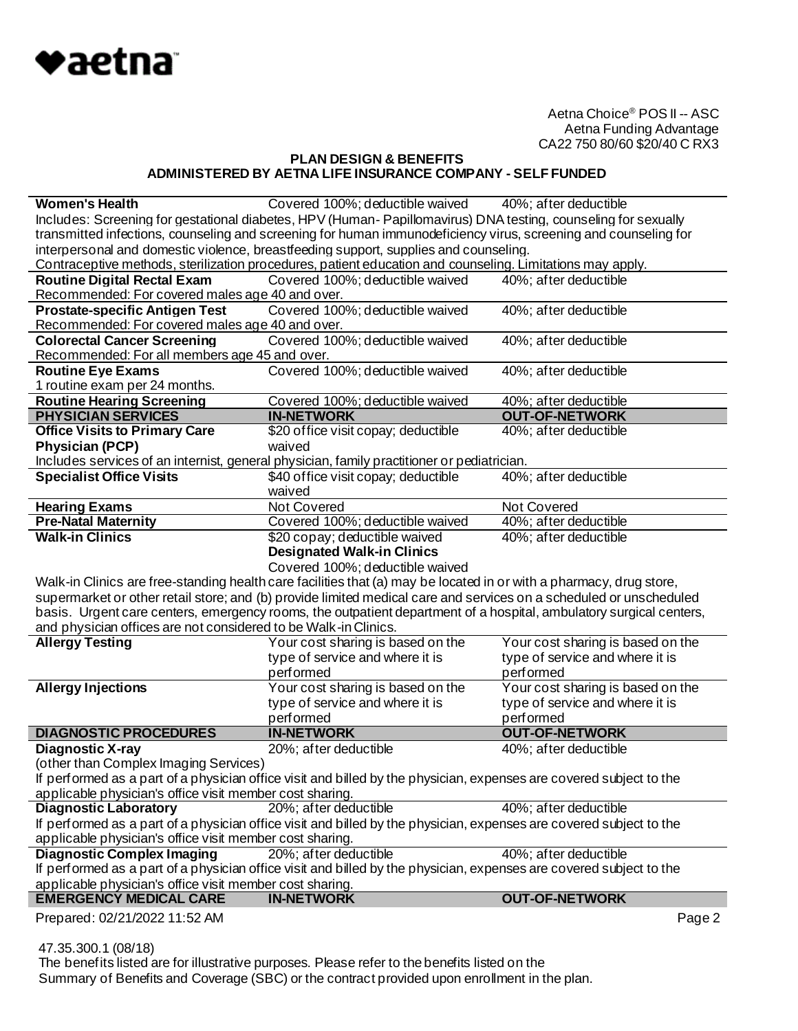

# **PLAN DESIGN & BENEFITS ADMINISTERED BY AETNA LIFE INSURANCE COMPANY - SELF FUNDED**

| <b>Women's Health</b>                                                                | Covered 100%; deductible waived 40%; after deductible                                                               |                                   |
|--------------------------------------------------------------------------------------|---------------------------------------------------------------------------------------------------------------------|-----------------------------------|
|                                                                                      | Includes: Screening for gestational diabetes, HPV (Human-Papillomavirus) DNA testing, counseling for sexually       |                                   |
|                                                                                      | transmitted infections, counseling and screening for human immunodeficiency virus, screening and counseling for     |                                   |
| interpersonal and domestic violence, breastfeeding support, supplies and counseling. |                                                                                                                     |                                   |
|                                                                                      | Contraceptive methods, sterilization procedures, patient education and counseling. Limitations may apply.           |                                   |
| <b>Routine Digital Rectal Exam</b>                                                   | Covered 100%; deductible waived                                                                                     | 40%; after deductible             |
| Recommended: For covered males age 40 and over.                                      |                                                                                                                     |                                   |
| <b>Prostate-specific Antigen Test</b>                                                | Covered 100%; deductible waived                                                                                     | 40%; after deductible             |
| Recommended: For covered males age 40 and over.                                      |                                                                                                                     |                                   |
| <b>Colorectal Cancer Screening</b>                                                   | Covered 100%; deductible waived                                                                                     | 40%; after deductible             |
| Recommended: For all members age 45 and over.                                        |                                                                                                                     |                                   |
| Routine Eye Exams                                                                    | Covered 100%; deductible waived                                                                                     | 40%; after deductible             |
| 1 routine exam per 24 months.                                                        |                                                                                                                     |                                   |
| <b>Routine Hearing Screening</b>                                                     | Covered 100%; deductible waived                                                                                     | 40%; after deductible             |
| <b>PHYSICIAN SERVICES</b>                                                            | <b>IN-NETWORK</b>                                                                                                   | <b>OUT-OF-NETWORK</b>             |
| <b>Office Visits to Primary Care</b>                                                 | \$20 office visit copay; deductible                                                                                 | 40%; after deductible             |
| <b>Physician (PCP)</b>                                                               | waived                                                                                                              |                                   |
|                                                                                      | Includes services of an internist, general physician, family practitioner or pediatrician.                          |                                   |
| <b>Specialist Office Visits</b>                                                      | \$40 office visit copay; deductible                                                                                 | 40%; after deductible             |
|                                                                                      | waived                                                                                                              |                                   |
| <b>Hearing Exams</b>                                                                 | Not Covered                                                                                                         | Not Covered                       |
| <b>Pre-Natal Maternity</b>                                                           | Covered 100%; deductible waived                                                                                     | 40%; after deductible             |
| <b>Walk-in Clinics</b>                                                               | \$20 copay; deductible waived                                                                                       | 40%; after deductible             |
|                                                                                      | <b>Designated Walk-in Clinics</b>                                                                                   |                                   |
|                                                                                      |                                                                                                                     |                                   |
|                                                                                      |                                                                                                                     |                                   |
|                                                                                      | Covered 100%; deductible waived                                                                                     |                                   |
|                                                                                      | Walk-in Clinics are free-standing health care facilities that (a) may be located in or with a pharmacy, drug store, |                                   |
|                                                                                      | supermarket or other retail store; and (b) provide limited medical care and services on a scheduled or unscheduled  |                                   |
|                                                                                      | basis. Urgent care centers, emergency rooms, the outpatient department of a hospital, ambulatory surgical centers,  |                                   |
| and physician offices are not considered to be Walk-in Clinics.                      |                                                                                                                     |                                   |
| <b>Allergy Testing</b>                                                               | Your cost sharing is based on the                                                                                   | Your cost sharing is based on the |
|                                                                                      | type of service and where it is                                                                                     | type of service and where it is   |
|                                                                                      | performed                                                                                                           | performed                         |
| <b>Allergy Injections</b>                                                            | Your cost sharing is based on the                                                                                   | Your cost sharing is based on the |
|                                                                                      | type of service and where it is                                                                                     | type of service and where it is   |
|                                                                                      | performed                                                                                                           | performed                         |
| <b>DIAGNOSTIC PROCEDURES</b>                                                         | <b>IN-NETWORK</b>                                                                                                   | <b>OUT-OF-NETWORK</b>             |
| <b>Diagnostic X-ray</b>                                                              | 20%; after deductible                                                                                               | 40%; after deductible             |
| (other than Complex Imaging Services)                                                |                                                                                                                     |                                   |
|                                                                                      | If performed as a part of a physician office visit and billed by the physician, expenses are covered subject to the |                                   |
| applicable physician's office visit member cost sharing.                             |                                                                                                                     |                                   |
| <b>Diagnostic Laboratory</b>                                                         | 20%; after deductible                                                                                               | 40%; after deductible             |
|                                                                                      | If performed as a part of a physician office visit and billed by the physician, expenses are covered subject to the |                                   |
| applicable physician's office visit member cost sharing.                             |                                                                                                                     |                                   |
| <b>Diagnostic Complex Imaging</b>                                                    | 20%; after deductible                                                                                               | 40%; after deductible             |
|                                                                                      | If performed as a part of a physician office visit and billed by the physician, expenses are covered subject to the |                                   |
| applicable physician's office visit member cost sharing.                             |                                                                                                                     |                                   |
| <b>EMERGENCY MEDICAL CARE</b><br>Prepared: 02/21/2022 11:52 AM                       | <b>IN-NETWORK</b>                                                                                                   | <b>OUT-OF-NETWORK</b><br>Page 2   |

47.35.300.1 (08/18)

The benefits listed are for illustrative purposes. Please refer to the benefits listed on the Summary of Benefits and Coverage (SBC) or the contract provided upon enrollment in the plan.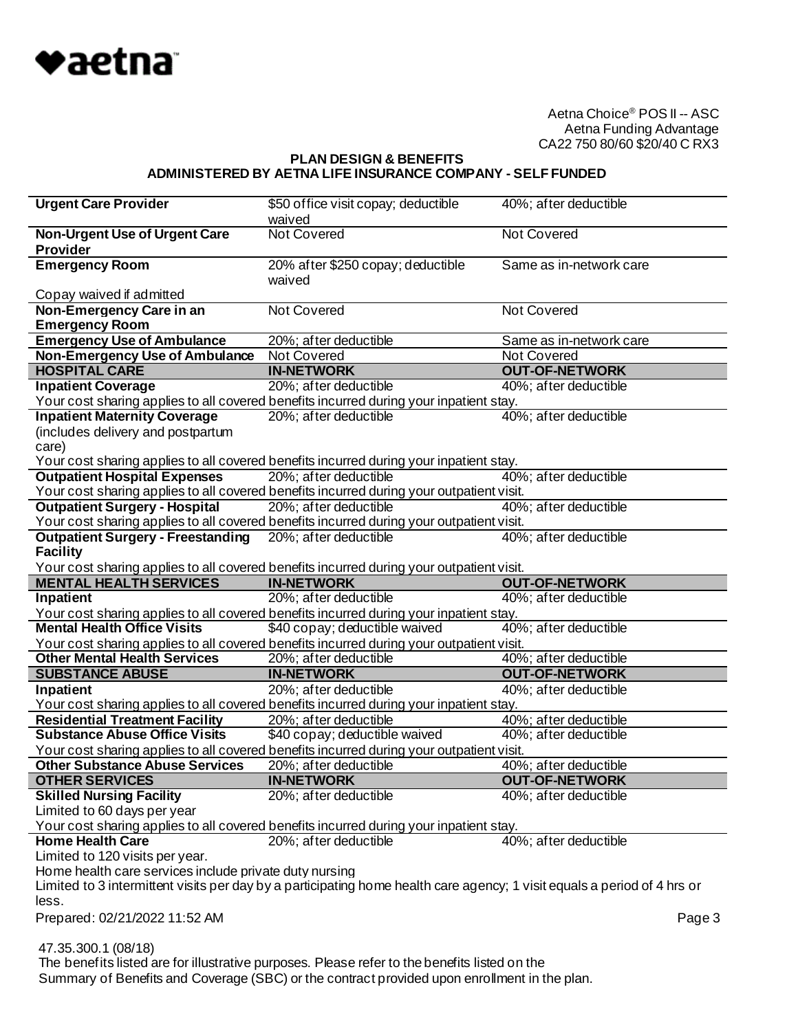

#### **PLAN DESIGN & BENEFITS ADMINISTERED BY AETNA LIFE INSURANCE COMPANY - SELF FUNDED**

| <b>Urgent Care Provider</b>                                                                                                  | \$50 of fice visit copay; deductible                                                          | 40%; after deductible   |
|------------------------------------------------------------------------------------------------------------------------------|-----------------------------------------------------------------------------------------------|-------------------------|
|                                                                                                                              | waived                                                                                        |                         |
| <b>Non-Urgent Use of Urgent Care</b>                                                                                         | <b>Not Covered</b>                                                                            | <b>Not Covered</b>      |
| <b>Provider</b>                                                                                                              |                                                                                               |                         |
| <b>Emergency Room</b>                                                                                                        | 20% after \$250 copay; deductible                                                             | Same as in-network care |
|                                                                                                                              | waived                                                                                        |                         |
| Copay waived if admitted                                                                                                     |                                                                                               |                         |
| Non-Emergency Care in an                                                                                                     | Not Covered                                                                                   | <b>Not Covered</b>      |
| <b>Emergency Room</b>                                                                                                        |                                                                                               |                         |
| <b>Emergency Use of Ambulance</b>                                                                                            | 20%; after deductible                                                                         | Same as in-network care |
| <b>Non-Emergency Use of Ambulance</b>                                                                                        | Not Covered                                                                                   | Not Covered             |
| <b>HOSPITAL CARE</b>                                                                                                         | <b>IN-NETWORK</b>                                                                             | <b>OUT-OF-NETWORK</b>   |
| <b>Inpatient Coverage</b>                                                                                                    | 20%; after deductible                                                                         | 40%; after deductible   |
| Your cost sharing applies to all covered benefits incurred during your inpatient stay.                                       |                                                                                               |                         |
| <b>Inpatient Maternity Coverage</b>                                                                                          | 20%; after deductible                                                                         | 40%; after deductible   |
| (includes delivery and postpartum                                                                                            |                                                                                               |                         |
| care)                                                                                                                        |                                                                                               |                         |
| Your cost sharing applies to all covered benefits incurred during your inpatient stay.                                       |                                                                                               |                         |
| <b>Outpatient Hospital Expenses</b>                                                                                          | 20%; after deductible                                                                         | 40%; after deductible   |
| Your cost sharing applies to all covered benefits incurred during your outpatient visit.                                     |                                                                                               |                         |
| <b>Outpatient Surgery - Hospital</b>                                                                                         | 20%; after deductible                                                                         | 40%; after deductible   |
| Your cost sharing applies to all covered benefits incurred during your outpatient visit.                                     |                                                                                               |                         |
| <b>Outpatient Surgery - Freestanding</b>                                                                                     | 20%; after deductible                                                                         | 40%; after deductible   |
| <b>Facility</b>                                                                                                              |                                                                                               |                         |
| Your cost sharing applies to all covered benefits incurred during your outpatient visit.                                     |                                                                                               |                         |
| <b>MENTAL HEALTH SERVICES</b>                                                                                                | <b>IN-NETWORK</b>                                                                             | <b>OUT-OF-NETWORK</b>   |
|                                                                                                                              |                                                                                               |                         |
|                                                                                                                              |                                                                                               |                         |
| Inpatient                                                                                                                    | 20%; after deductible                                                                         | 40%; after deductible   |
| Your cost sharing applies to all covered benefits incurred during your inpatient stay.<br><b>Mental Health Office Visits</b> |                                                                                               |                         |
|                                                                                                                              | \$40 copay; deductible waived                                                                 | 40%; after deductible   |
| Your cost sharing applies to all covered benefits incurred during your outpatient visit.                                     |                                                                                               |                         |
| <b>Other Mental Health Services</b>                                                                                          | 20%; after deductible                                                                         | 40%; after deductible   |
| <b>SUBSTANCE ABUSE</b>                                                                                                       | <b>IN-NETWORK</b>                                                                             | <b>OUT-OF-NETWORK</b>   |
| Inpatient                                                                                                                    | 20%; after deductible                                                                         | 40%; after deductible   |
| Your cost sharing applies to all covered benefits incurred during your inpatient stay.                                       |                                                                                               |                         |
| <b>Residential Treatment Facility</b>                                                                                        | 20%; after deductible                                                                         | 40%; after deductible   |
| <b>Substance Abuse Office Visits</b>                                                                                         | \$40 copay; deductible waived                                                                 | 40%; after deductible   |
| Your cost sharing applies to all covered benefits incurred during your outpatient visit.                                     |                                                                                               |                         |
| <b>Other Substance Abuse Services</b>                                                                                        | 20%; after deductible                                                                         | 40%; after deductible   |
| <b>OTHER SERVICES</b>                                                                                                        | <b>IN-NETWORK</b>                                                                             | <b>OUT-OF-NETWORK</b>   |
| <b>Skilled Nursing Facility</b>                                                                                              | 20%; after deductible                                                                         | 40%; after deductible   |
| Limited to 60 days per year                                                                                                  |                                                                                               |                         |
| Your cost sharing applies to all covered benefits incurred during your inpatient stay.                                       |                                                                                               |                         |
| <b>Home Health Care</b>                                                                                                      | 20%; after deductible                                                                         | 40%; after deductible   |
| Limited to 120 visits per year.                                                                                              |                                                                                               |                         |
| Home health care services include private duty nursing                                                                       |                                                                                               |                         |
| Limited to 3 intermittent visits per day by a participating home health care agency; 1 visit equals a period of 4 hrs or     |                                                                                               |                         |
| less.                                                                                                                        |                                                                                               |                         |
| Prepared: 02/21/2022 11:52 AM                                                                                                |                                                                                               | Page 3                  |
|                                                                                                                              |                                                                                               |                         |
| 47.35.300.1 (08/18)                                                                                                          | The benefits listed are for illustrative purposes. Please refer to the benefits listed on the |                         |

Summary of Benefits and Coverage (SBC) or the contract provided upon enrollment in the plan.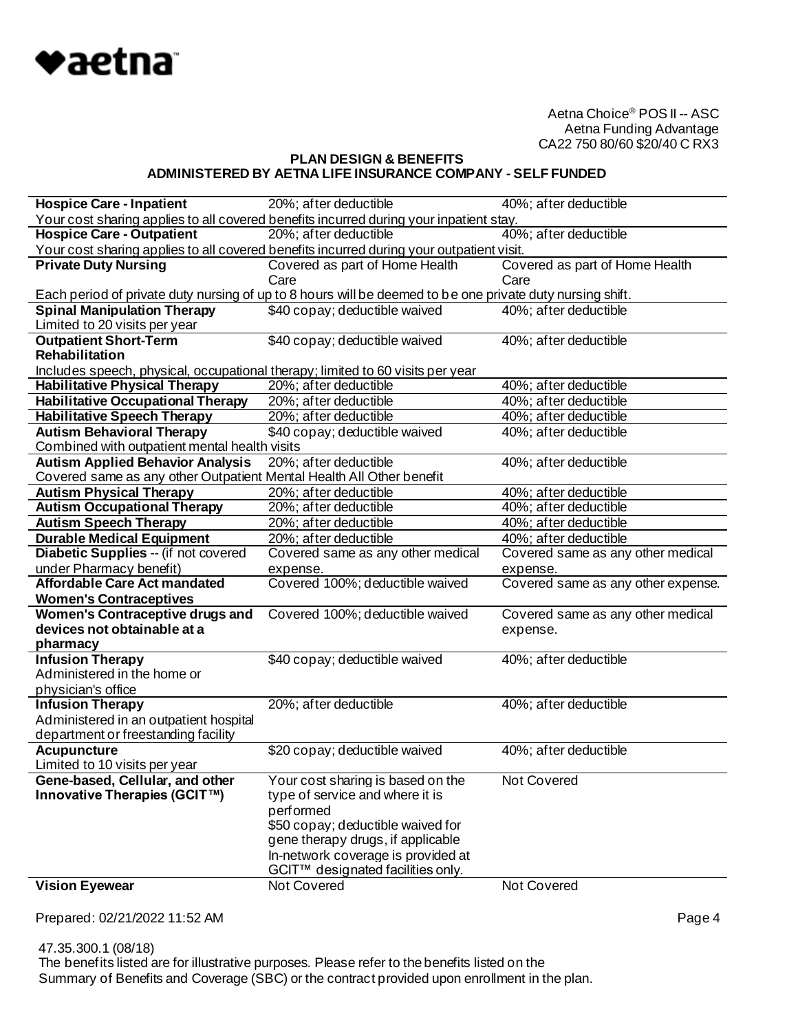

# **PLAN DESIGN & BENEFITS ADMINISTERED BY AETNA LIFE INSURANCE COMPANY - SELF FUNDED**

| <b>Hospice Care - Inpatient</b>                                                | 20%; after deductible                                                                                     | 40%; after deductible              |
|--------------------------------------------------------------------------------|-----------------------------------------------------------------------------------------------------------|------------------------------------|
|                                                                                | Your cost sharing applies to all covered benefits incurred during your inpatient stay.                    |                                    |
| <b>Hospice Care - Outpatient</b>                                               | 20%; after deductible                                                                                     | 40%; after deductible              |
|                                                                                | Your cost sharing applies to all covered benefits incurred during your outpatient visit.                  |                                    |
| <b>Private Duty Nursing</b>                                                    | Covered as part of Home Health                                                                            | Covered as part of Home Health     |
|                                                                                | Care                                                                                                      | Care                               |
|                                                                                | Each period of private duty nursing of up to 8 hours will be deemed to be one private duty nursing shift. |                                    |
| <b>Spinal Manipulation Therapy</b>                                             | \$40 copay; deductible waived                                                                             | 40%; after deductible              |
| Limited to 20 visits per year                                                  |                                                                                                           |                                    |
| <b>Outpatient Short-Term</b>                                                   | \$40 copay; deductible waived                                                                             | 40%; after deductible              |
| Rehabilitation                                                                 |                                                                                                           |                                    |
| Includes speech, physical, occupational therapy; limited to 60 visits per year |                                                                                                           |                                    |
| <b>Habilitative Physical Therapy</b>                                           | 20%; after deductible                                                                                     | 40%; after deductible              |
| <b>Habilitative Occupational Therapy</b>                                       | 20%; after deductible                                                                                     | 40%; after deductible              |
| <b>Habilitative Speech Therapy</b>                                             | 20%; after deductible                                                                                     | 40%; after deductible              |
| <b>Autism Behavioral Therapy</b>                                               | \$40 copay; deductible waived                                                                             | 40%; after deductible              |
| Combined with outpatient mental health visits                                  |                                                                                                           |                                    |
| <b>Autism Applied Behavior Analysis</b>                                        | 20%; after deductible                                                                                     | 40%; after deductible              |
| Covered same as any other Outpatient Mental Health All Other benefit           |                                                                                                           |                                    |
| <b>Autism Physical Therapy</b>                                                 | 20%; after deductible                                                                                     | 40%; after deductible              |
| <b>Autism Occupational Therapy</b>                                             | 20%; after deductible                                                                                     | 40%; af ter deductible             |
| <b>Autism Speech Therapy</b>                                                   | 20%; after deductible                                                                                     | 40%; after deductible              |
| <b>Durable Medical Equipment</b>                                               | 20%; after deductible                                                                                     | 40%; after deductible              |
| Diabetic Supplies -- (if not covered                                           | Covered same as any other medical                                                                         | Covered same as any other medical  |
| under Pharmacy benefit)                                                        | expense.                                                                                                  | expense.                           |
| <b>Affordable Care Act mandated</b>                                            | Covered 100%; deductible waived                                                                           | Covered same as any other expense. |
| <b>Women's Contraceptives</b>                                                  |                                                                                                           |                                    |
| <b>Women's Contraceptive drugs and</b>                                         | Covered 100%; deductible waived                                                                           | Covered same as any other medical  |
| devices not obtainable at a                                                    |                                                                                                           |                                    |
|                                                                                |                                                                                                           | expense.                           |
| pharmacy                                                                       |                                                                                                           |                                    |
| <b>Infusion Therapy</b>                                                        | \$40 copay; deductible waived                                                                             | 40%; after deductible              |
| Administered in the home or                                                    |                                                                                                           |                                    |
| physician's office                                                             |                                                                                                           |                                    |
| <b>Infusion Therapy</b>                                                        | 20%; after deductible                                                                                     | 40%; after deductible              |
| Administered in an outpatient hospital                                         |                                                                                                           |                                    |
| department or freestanding facility                                            |                                                                                                           |                                    |
| <b>Acupuncture</b>                                                             | \$20 copay; deductible waived                                                                             | 40%; after deductible              |
| Limited to 10 visits per year                                                  |                                                                                                           |                                    |
| Gene-based, Cellular, and other                                                | Your cost sharing is based on the                                                                         | Not Covered                        |
| Innovative Therapies (GCIT™)                                                   | type of service and where it is                                                                           |                                    |
|                                                                                | performed                                                                                                 |                                    |
|                                                                                | \$50 copay; deductible waived for                                                                         |                                    |
|                                                                                | gene therapy drugs, if applicable                                                                         |                                    |
|                                                                                | In-network coverage is provided at                                                                        |                                    |
|                                                                                | GCIT™ designated facilities only.                                                                         |                                    |
| <b>Vision Eyewear</b>                                                          | Not Covered                                                                                               | Not Covered                        |

Prepared: 02/21/2022 11:52 AM **Page 4** 

 47.35.300.1 (08/18) The benefits listed are for illustrative purposes. Please refer to the benefits listed on the Summary of Benefits and Coverage (SBC) or the contract provided upon enrollment in the plan.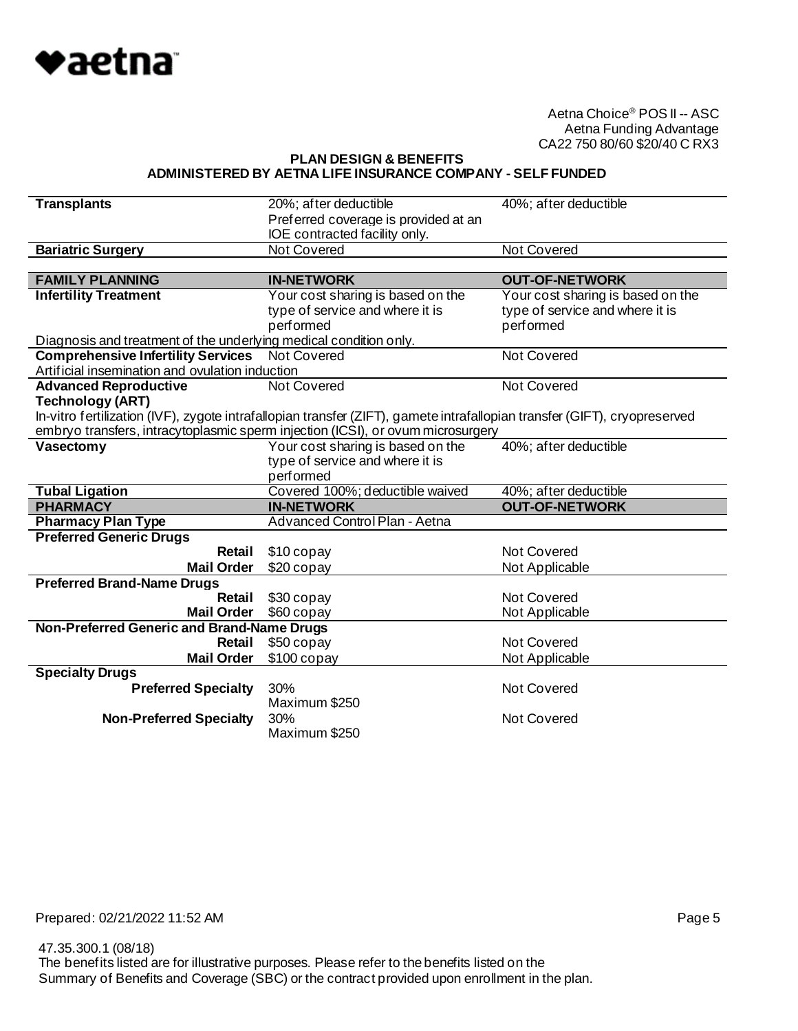

**PLAN DESIGN & BENEFITS ADMINISTERED BY AETNA LIFE INSURANCE COMPANY - SELF FUNDED**

| <b>Transplants</b>                                                | 20%; after deductible                                                                                                     | 40%; after deductible             |
|-------------------------------------------------------------------|---------------------------------------------------------------------------------------------------------------------------|-----------------------------------|
|                                                                   | Preferred coverage is provided at an                                                                                      |                                   |
|                                                                   | IOE contracted facility only.                                                                                             |                                   |
| <b>Bariatric Surgery</b>                                          | Not Covered                                                                                                               | <b>Not Covered</b>                |
|                                                                   |                                                                                                                           |                                   |
| <b>FAMILY PLANNING</b>                                            | <b>IN-NETWORK</b>                                                                                                         | <b>OUT-OF-NETWORK</b>             |
| <b>Infertility Treatment</b>                                      | Your cost sharing is based on the                                                                                         | Your cost sharing is based on the |
|                                                                   | type of service and where it is                                                                                           | type of service and where it is   |
|                                                                   | performed                                                                                                                 | performed                         |
| Diagnosis and treatment of the underlying medical condition only. |                                                                                                                           |                                   |
| <b>Comprehensive Infertility Services</b> Not Covered             |                                                                                                                           | Not Covered                       |
| Artificial insemination and ovulation induction                   |                                                                                                                           |                                   |
| <b>Advanced Reproductive</b>                                      | Not Covered                                                                                                               | <b>Not Covered</b>                |
| <b>Technology (ART)</b>                                           |                                                                                                                           |                                   |
|                                                                   | In-vitro fertilization (IVF), zygote intrafallopian transfer (ZIFT), gamete intrafallopian transfer (GIFT), cryopreserved |                                   |
|                                                                   | embryo transfers, intracytoplasmic sperm injection (ICSI), or ovum microsurgery                                           |                                   |
| Vasectomy                                                         | Your cost sharing is based on the                                                                                         | 40%; after deductible             |
|                                                                   | type of service and where it is                                                                                           |                                   |
|                                                                   | performed                                                                                                                 |                                   |
| <b>Tubal Ligation</b>                                             | Covered 100%; deductible waived                                                                                           | 40%; after deductible             |
| <b>PHARMACY</b>                                                   | <b>IN-NETWORK</b>                                                                                                         | <b>OUT-OF-NETWORK</b>             |
| <b>Pharmacy Plan Type</b>                                         | <b>Advanced Control Plan - Aetna</b>                                                                                      |                                   |
| <b>Preferred Generic Drugs</b>                                    |                                                                                                                           |                                   |
| Retail                                                            | \$10 copay                                                                                                                | Not Covered                       |
| <b>Mail Order</b>                                                 | \$20 copay                                                                                                                | Not Applicable                    |
| <b>Preferred Brand-Name Drugs</b>                                 |                                                                                                                           |                                   |
| <b>Retail</b>                                                     | \$30 copay                                                                                                                | <b>Not Covered</b>                |
| <b>Mail Order</b>                                                 | \$60 copay                                                                                                                | Not Applicable                    |
| Non-Preferred Generic and Brand-Name Drugs                        |                                                                                                                           |                                   |
| Retail                                                            | \$50 copay                                                                                                                | Not Covered                       |
| <b>Mail Order</b>                                                 | $$100$ copay                                                                                                              | Not Applicable                    |
| <b>Specialty Drugs</b>                                            |                                                                                                                           |                                   |
| <b>Preferred Specialty</b>                                        | 30%                                                                                                                       | Not Covered                       |
|                                                                   | Maximum \$250                                                                                                             |                                   |
|                                                                   |                                                                                                                           |                                   |
| <b>Non-Preferred Specialty</b>                                    | 30%<br>Maximum \$250                                                                                                      | Not Covered                       |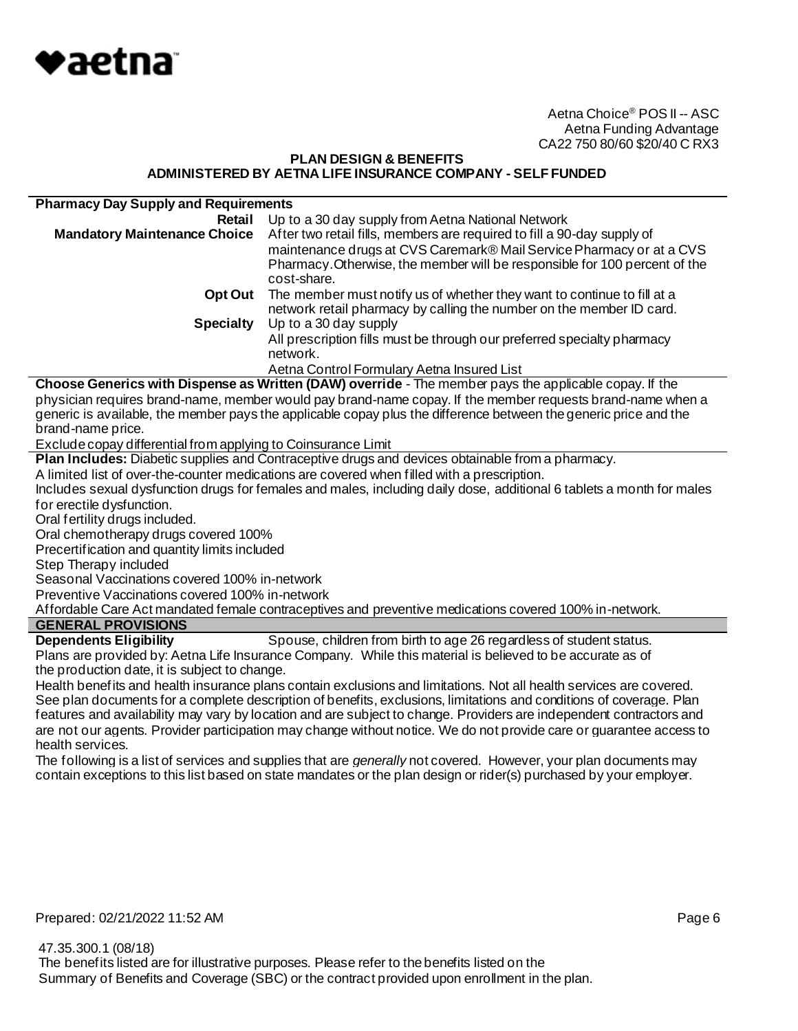

#### **PLAN DESIGN & BENEFITS ADMINISTERED BY AETNA LIFE INSURANCE COMPANY - SELF FUNDED**

| <b>Pharmacy Day Supply and Requirements</b> |                                                                                                                                                                                                                                              |
|---------------------------------------------|----------------------------------------------------------------------------------------------------------------------------------------------------------------------------------------------------------------------------------------------|
| Retail                                      | Up to a 30 day supply from Aetna National Network                                                                                                                                                                                            |
| <b>Mandatory Maintenance Choice</b>         | After two retail fills, members are required to fill a 90-day supply of<br>maintenance drugs at CVS Caremark® Mail Service Pharmacy or at a CVS<br>Pharmacy. Otherwise, the member will be responsible for 100 percent of the<br>cost-share. |
| Opt Out                                     | The member must notify us of whether they want to continue to fill at a<br>network retail pharmacy by calling the number on the member ID card.                                                                                              |
| <b>Specialty</b>                            | Up to a 30 day supply                                                                                                                                                                                                                        |
|                                             | All prescription fills must be through our preferred specialty pharmacy<br>network.                                                                                                                                                          |
|                                             | Aetna Control Formulary Aetna Insured List                                                                                                                                                                                                   |

**Choose Generics with Dispense as Written (DAW) override** - The member pays the applicable copay. If the physician requires brand-name, member would pay brand-name copay. If the member requests brand-name when a generic is available, the member pays the applicable copay plus the difference between the generic price and the brand-name price.

Exclude copay differential from applying to Coinsurance Limit

**Plan Includes:** Diabetic supplies and Contraceptive drugs and devices obtainable from a pharmacy.

A limited list of over-the-counter medications are covered when filled with a prescription.

Includes sexual dysfunction drugs for females and males, including daily dose, additional 6 tablets a month for males for erectile dysfunction.

Oral fertility drugs included.

Oral chemotherapy drugs covered 100%

Precertification and quantity limits included

Step Therapy included

Seasonal Vaccinations covered 100% in-network

Preventive Vaccinations covered 100% in-network

Affordable Care Act mandated female contraceptives and preventive medications covered 100% in-network.

# **GENERAL PROVISIONS**

**Dependents Eligibility** Spouse, children from birth to age 26 regardless of student status. Plans are provided by: Aetna Life Insurance Company. While this material is believed to be accurate as of the production date, it is subject to change.

Health benefits and health insurance plans contain exclusions and limitations. Not all health services are covered. See plan documents for a complete description of benefits, exclusions, limitations and conditions of coverage. Plan features and availability may vary by location and are subject to change. Providers are independent contractors and are not our agents. Provider participation may change without notice. We do not provide care or guarantee access to health services.

The following is a list of services and supplies that are *generally* not covered. However, your plan documents may contain exceptions to this list based on state mandates or the plan design or rider(s) purchased by your employer.